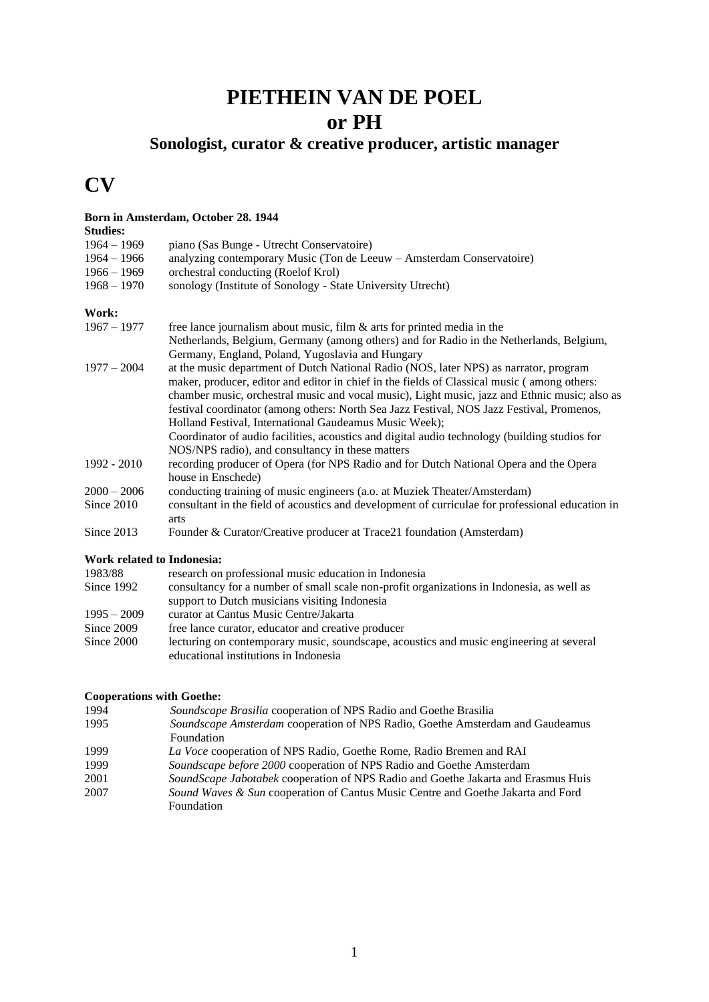## **PIETHEIN VAN DE POEL or PH**

### **Sonologist, curator & creative producer, artistic manager**

**CV**

#### **Born in Amsterdam, October 28. 1944**

**Studies:** 

| $1964 - 1969$                         | piano (Sas Bunge - Utrecht Conservatoire)                                                        |
|---------------------------------------|--------------------------------------------------------------------------------------------------|
| $1964 - 1966$                         | analyzing contemporary Music (Ton de Leeuw - Amsterdam Conservatoire)                            |
| $1966 - 1969$                         | orchestral conducting (Roelof Krol)                                                              |
| $1968 - 1970$                         | sonology (Institute of Sonology - State University Utrecht)                                      |
| Work:                                 |                                                                                                  |
| $1967 - 1977$                         | free lance journalism about music, film $\&$ arts for printed media in the                       |
|                                       | Netherlands, Belgium, Germany (among others) and for Radio in the Netherlands, Belgium,          |
|                                       | Germany, England, Poland, Yugoslavia and Hungary                                                 |
| $1977 - 2004$                         | at the music department of Dutch National Radio (NOS, later NPS) as narrator, program            |
|                                       | maker, producer, editor and editor in chief in the fields of Classical music (among others:      |
|                                       | chamber music, orchestral music and vocal music), Light music, jazz and Ethnic music; also as    |
|                                       | festival coordinator (among others: North Sea Jazz Festival, NOS Jazz Festival, Promenos,        |
|                                       | Holland Festival, International Gaudeamus Music Week);                                           |
|                                       | Coordinator of audio facilities, acoustics and digital audio technology (building studios for    |
|                                       | NOS/NPS radio), and consultancy in these matters                                                 |
|                                       |                                                                                                  |
| 1992 - 2010                           | recording producer of Opera (for NPS Radio and for Dutch National Opera and the Opera            |
|                                       | house in Enschede)                                                                               |
| $2000 - 2006$                         | conducting training of music engineers (a.o. at Muziek Theater/Amsterdam)                        |
| Since 2010                            | consultant in the field of acoustics and development of curriculae for professional education in |
|                                       | arts                                                                                             |
| Since 2013                            | Founder & Curator/Creative producer at Trace21 foundation (Amsterdam)                            |
| Work related to Indonesia:            |                                                                                                  |
| 1983/88                               | research on professional music education in Indonesia                                            |
| Since 1992                            | consultancy for a number of small scale non-profit organizations in Indonesia, as well as        |
|                                       | support to Dutch musicians visiting Indonesia                                                    |
| $1995 - 2009$                         | curator at Cantus Music Centre/Jakarta                                                           |
| Since 2009                            | free lance curator, educator and creative producer                                               |
| $C_{\text{max}}$ and $C_{\text{max}}$ |                                                                                                  |

Since 2000 lecturing on contemporary music, soundscape, acoustics and music engineering at several educational institutions in Indonesia

# **Cooperations with Goethe:**

1994 *Soundscape Brasilia* cooperation of NPS Radio and Goethe Brasilia

- 1995 *Soundscape Amsterdam* cooperation of NPS Radio, Goethe Amsterdam and Gaudeamus Foundation
- 1999 *La Voce* cooperation of NPS Radio, Goethe Rome, Radio Bremen and RAI
- 1999 *Soundscape before 2000* cooperation of NPS Radio and Goethe Amsterdam
- 2001 *SoundScape Jabotabek* cooperation of NPS Radio and Goethe Jakarta and Erasmus Huis
- 2007 *Sound Waves & Sun* cooperation of Cantus Music Centre and Goethe Jakarta and Ford Foundation